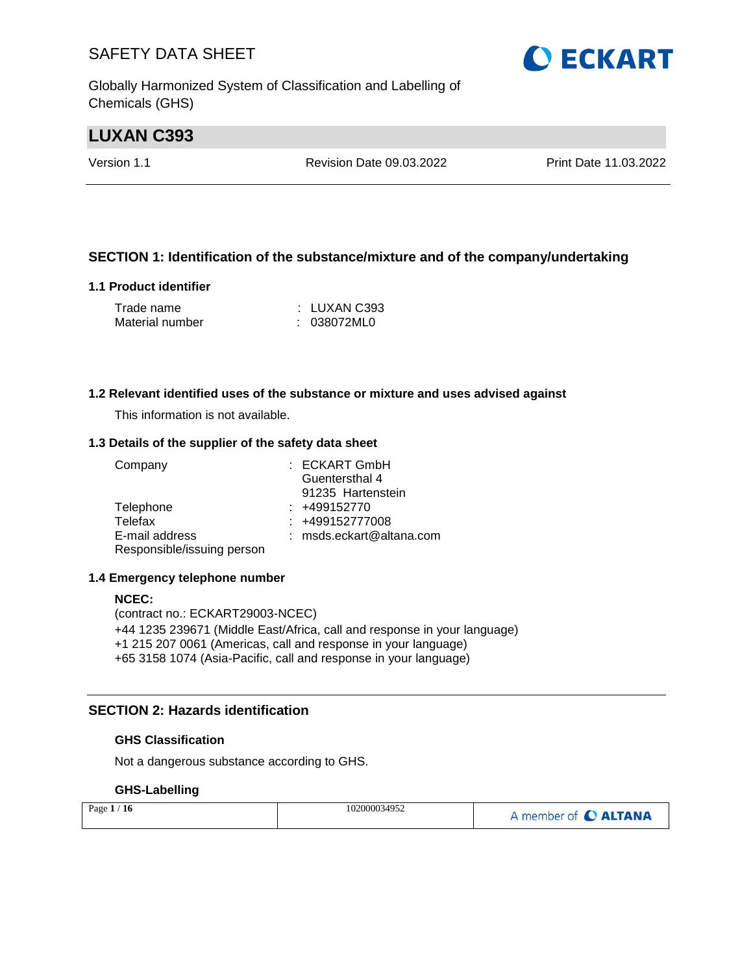Globally Harmonized System of Classification and Labelling of Chemicals (GHS)

## **LUXAN C393**

Version 1.1 Revision Date 09.03.2022 Print Date 11.03.2022

#### **SECTION 1: Identification of the substance/mixture and of the company/undertaking**

#### **1.1 Product identifier**

| Trade name      | : LUXAN C393 |
|-----------------|--------------|
| Material number | : 038072ML0  |

#### **1.2 Relevant identified uses of the substance or mixture and uses advised against**

This information is not available.

#### **1.3 Details of the supplier of the safety data sheet**

| Company                    | : ECKART GmbH              |
|----------------------------|----------------------------|
|                            | Guentersthal 4             |
|                            | 91235 Hartenstein          |
| Telephone                  | $: +499152770$             |
| Telefax                    | $: +499152777008$          |
| E-mail address             | $:$ msds.eckart@altana.com |
| Responsible/issuing person |                            |

#### **1.4 Emergency telephone number**

#### **NCEC:**

(contract no.: ECKART29003-NCEC) +44 1235 239671 (Middle East/Africa, call and response in your language) +1 215 207 0061 (Americas, call and response in your language) +65 3158 1074 (Asia-Pacific, call and response in your language)

#### **SECTION 2: Hazards identification**

#### **GHS Classification**

Not a dangerous substance according to GHS.

#### **GHS-Labelling**

| Page $1/16$ | 102000034952 | A member of C ALTANA |
|-------------|--------------|----------------------|
|-------------|--------------|----------------------|

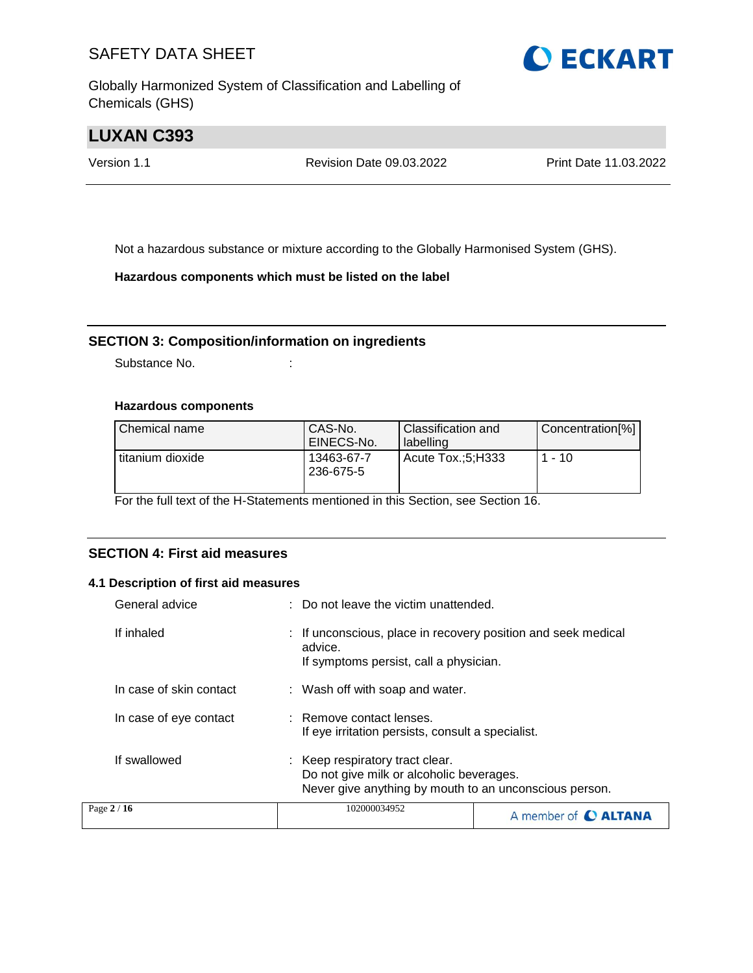Globally Harmonized System of Classification and Labelling of Chemicals (GHS)



## **LUXAN C393**

Version 1.1 Revision Date 09.03.2022 Print Date 11.03.2022

Not a hazardous substance or mixture according to the Globally Harmonised System (GHS).

**Hazardous components which must be listed on the label**

#### **SECTION 3: Composition/information on ingredients**

Substance No. **:** :

#### **Hazardous components**

| Chemical name    | CAS-No.<br>EINECS-No.   | <b>Classification and</b><br>l labelling | Concentration[%] |
|------------------|-------------------------|------------------------------------------|------------------|
| titanium dioxide | 13463-67-7<br>236-675-5 | Acute Tox.:5:H333                        | $1 - 10$         |

For the full text of the H-Statements mentioned in this Section, see Section 16.

#### **SECTION 4: First aid measures**

#### **4.1 Description of first aid measures**

| General advice          | : Do not leave the victim unattended.                                                                                                 |  |
|-------------------------|---------------------------------------------------------------------------------------------------------------------------------------|--|
| If inhaled              | If unconscious, place in recovery position and seek medical<br>advice.<br>If symptoms persist, call a physician.                      |  |
| In case of skin contact | : Wash off with soap and water.                                                                                                       |  |
| In case of eye contact  | : Remove contact lenses.<br>If eye irritation persists, consult a specialist.                                                         |  |
| If swallowed            | : Keep respiratory tract clear.<br>Do not give milk or alcoholic beverages.<br>Never give anything by mouth to an unconscious person. |  |
| Page $2/16$             | 102000034952<br>A member of <b>C ALTANA</b>                                                                                           |  |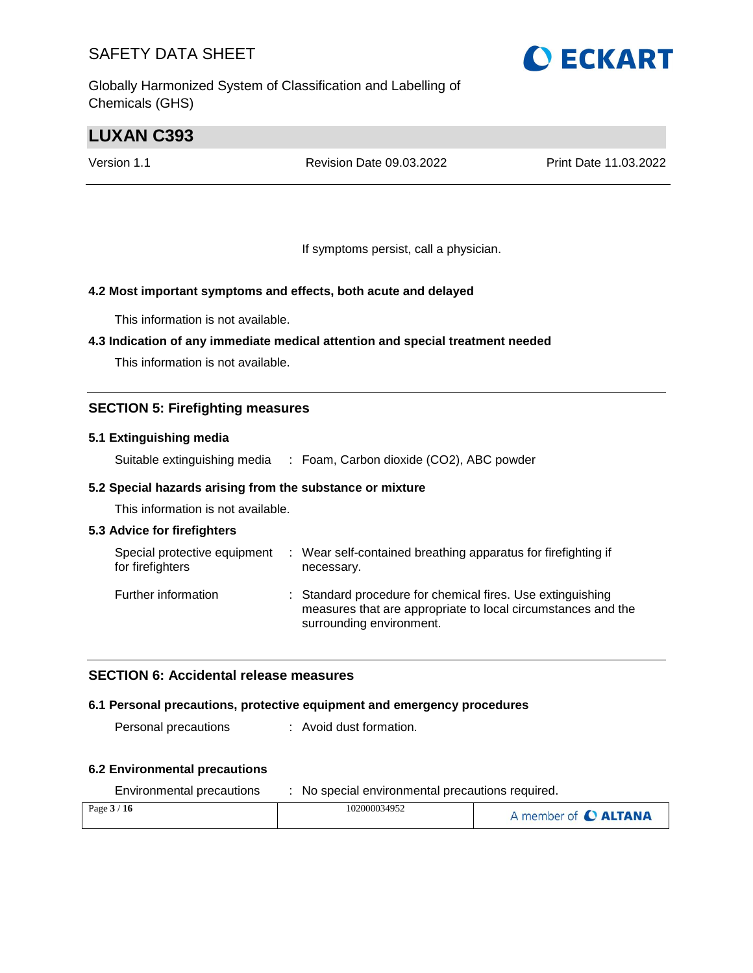Globally Harmonized System of Classification and Labelling of Chemicals (GHS)

## **LUXAN C393**

Version 1.1 Revision Date 09.03.2022 Print Date 11.03.2022

If symptoms persist, call a physician.

#### **4.2 Most important symptoms and effects, both acute and delayed**

This information is not available.

#### **4.3 Indication of any immediate medical attention and special treatment needed**

This information is not available.

#### **SECTION 5: Firefighting measures**

#### **5.1 Extinguishing media**

Suitable extinguishing media : Foam, Carbon dioxide (CO2), ABC powder

#### **5.2 Special hazards arising from the substance or mixture**

This information is not available.

#### **5.3 Advice for firefighters**

| Special protective equipment<br>for firefighters | : Wear self-contained breathing apparatus for firefighting if<br>necessary.                                                                            |
|--------------------------------------------------|--------------------------------------------------------------------------------------------------------------------------------------------------------|
| Further information                              | : Standard procedure for chemical fires. Use extinguishing<br>measures that are appropriate to local circumstances and the<br>surrounding environment. |

#### **SECTION 6: Accidental release measures**

#### **6.1 Personal precautions, protective equipment and emergency procedures**

Personal precautions : Avoid dust formation.

#### **6.2 Environmental precautions**

| Environmental precautions | No special environmental precautions required. |                      |  |
|---------------------------|------------------------------------------------|----------------------|--|
| Page $3/16$               | 102000034952                                   | A member of C ALTANA |  |

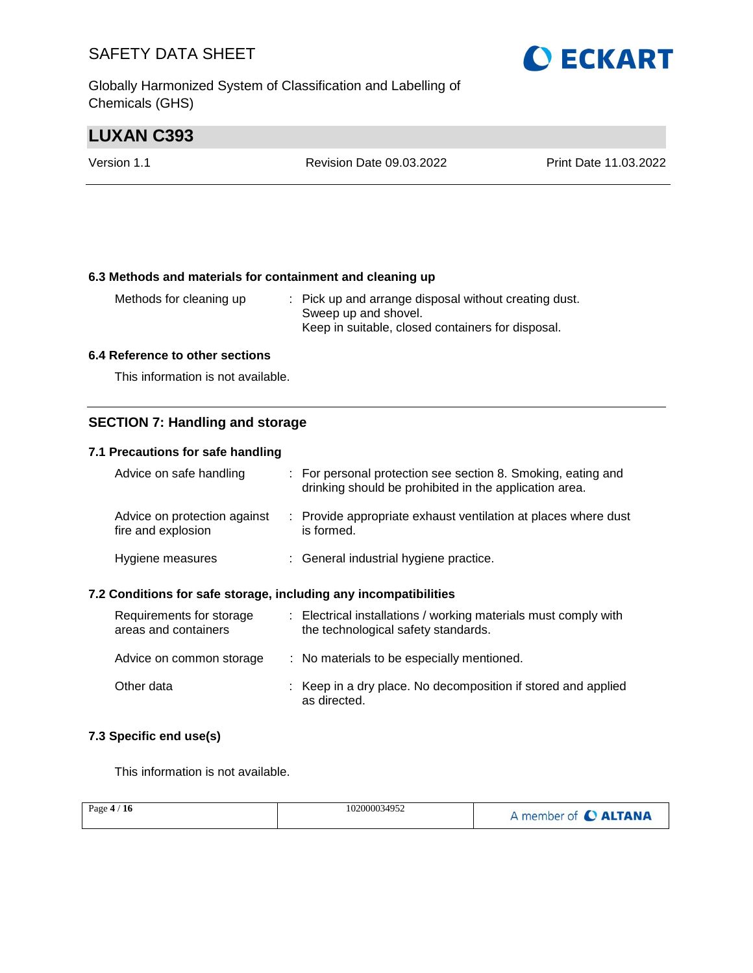Globally Harmonized System of Classification and Labelling of Chemicals (GHS)

## **LUXAN C393**

| Version 1.1 | <b>Revision Date 09.03.2022</b> | Print Date 11.03.2022 |
|-------------|---------------------------------|-----------------------|
|             |                                 |                       |

#### **6.3 Methods and materials for containment and cleaning up**

| Methods for cleaning up | : Pick up and arrange disposal without creating dust. |
|-------------------------|-------------------------------------------------------|
|                         | Sweep up and shovel.                                  |
|                         | Keep in suitable, closed containers for disposal.     |

#### **6.4 Reference to other sections**

This information is not available.

#### **SECTION 7: Handling and storage**

#### **7.1 Precautions for safe handling**

| Advice on safe handling                            | : For personal protection see section 8. Smoking, eating and<br>drinking should be prohibited in the application area. |
|----------------------------------------------------|------------------------------------------------------------------------------------------------------------------------|
| Advice on protection against<br>fire and explosion | : Provide appropriate exhaust ventilation at places where dust<br>is formed.                                           |
| Hygiene measures                                   | : General industrial hygiene practice.                                                                                 |

#### **7.2 Conditions for safe storage, including any incompatibilities**

| Requirements for storage<br>areas and containers | : Electrical installations / working materials must comply with<br>the technological safety standards. |
|--------------------------------------------------|--------------------------------------------------------------------------------------------------------|
| Advice on common storage                         | : No materials to be especially mentioned.                                                             |
| Other data                                       | : Keep in a dry place. No decomposition if stored and applied<br>as directed.                          |

#### **7.3 Specific end use(s)**

This information is not available.

| Page $4/16$ | 102000034952 | A member of C ALTANA |
|-------------|--------------|----------------------|
|             |              |                      |

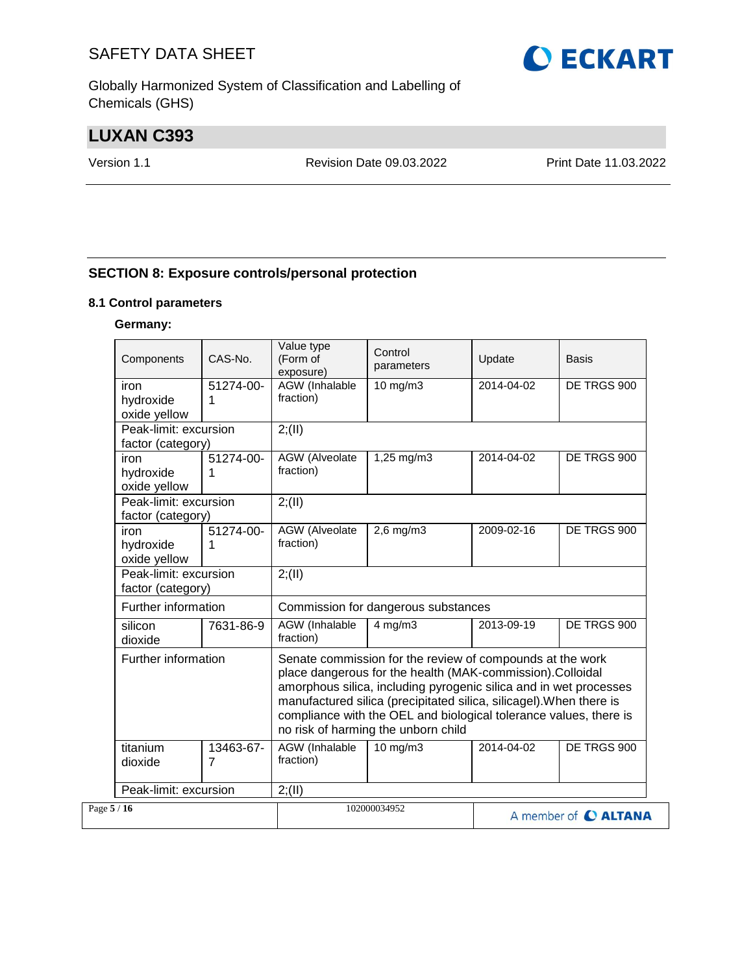Globally Harmonized System of Classification and Labelling of Chemicals (GHS)

## **LUXAN C393**

Version 1.1 Revision Date 09.03.2022 Print Date 11.03.2022

#### **SECTION 8: Exposure controls/personal protection**

#### **8.1 Control parameters**

#### **Germany:**

| Components                                 | CAS-No.        | Value type<br>(Form of<br>exposure) | Control<br>parameters                                                                                                                                                                                                                                                                                                                                                          | Update     | <b>Basis</b>         |
|--------------------------------------------|----------------|-------------------------------------|--------------------------------------------------------------------------------------------------------------------------------------------------------------------------------------------------------------------------------------------------------------------------------------------------------------------------------------------------------------------------------|------------|----------------------|
| iron<br>hydroxide<br>oxide yellow          | 51274-00-<br>1 | <b>AGW</b> (Inhalable<br>fraction)  | 10 mg/m3                                                                                                                                                                                                                                                                                                                                                                       | 2014-04-02 | DE TRGS 900          |
| Peak-limit: excursion<br>factor (category) |                | 2; (II)                             |                                                                                                                                                                                                                                                                                                                                                                                |            |                      |
| iron<br>hydroxide<br>oxide yellow          | 51274-00-      | <b>AGW</b> (Alveolate<br>fraction)  | 1,25 mg/m3                                                                                                                                                                                                                                                                                                                                                                     | 2014-04-02 | DE TRGS 900          |
| Peak-limit: excursion<br>factor (category) |                | 2; (II)                             |                                                                                                                                                                                                                                                                                                                                                                                |            |                      |
| iron<br>hydroxide<br>oxide yellow          | 51274-00-<br>1 | AGW (Alveolate<br>fraction)         | $2,6$ mg/m $3$                                                                                                                                                                                                                                                                                                                                                                 | 2009-02-16 | DE TRGS 900          |
| Peak-limit: excursion<br>factor (category) |                | 2; (II)                             |                                                                                                                                                                                                                                                                                                                                                                                |            |                      |
| Further information                        |                | Commission for dangerous substances |                                                                                                                                                                                                                                                                                                                                                                                |            |                      |
| silicon<br>dioxide                         | 7631-86-9      | AGW (Inhalable<br>fraction)         | $4$ mg/m $3$                                                                                                                                                                                                                                                                                                                                                                   | 2013-09-19 | DE TRGS 900          |
| Further information                        |                |                                     | Senate commission for the review of compounds at the work<br>place dangerous for the health (MAK-commission).Colloidal<br>amorphous silica, including pyrogenic silica and in wet processes<br>manufactured silica (precipitated silica, silicagel). When there is<br>compliance with the OEL and biological tolerance values, there is<br>no risk of harming the unborn child |            |                      |
| titanium<br>dioxide                        | 13463-67-<br>7 | AGW (Inhalable<br>fraction)         | 10 mg/m3                                                                                                                                                                                                                                                                                                                                                                       | 2014-04-02 | DE TRGS 900          |
| Peak-limit: excursion                      |                | 2; (II)                             |                                                                                                                                                                                                                                                                                                                                                                                |            |                      |
| Page $5/16$                                |                |                                     | 102000034952                                                                                                                                                                                                                                                                                                                                                                   |            | A member of C ALTANA |

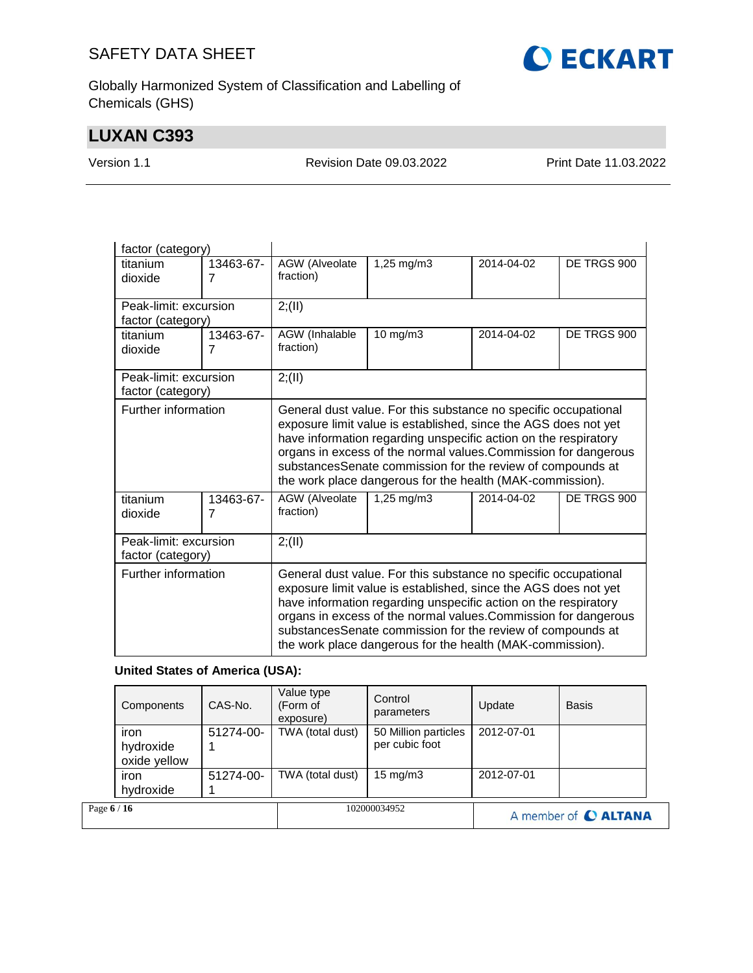

Globally Harmonized System of Classification and Labelling of Chemicals (GHS)

## **LUXAN C393**

Version 1.1 Revision Date 09.03.2022 Print Date 11.03.2022

| factor (category)                            |                   |                                     |                                                                                                                                                                                                                                                                                                                                                                                                                                |            |             |  |
|----------------------------------------------|-------------------|-------------------------------------|--------------------------------------------------------------------------------------------------------------------------------------------------------------------------------------------------------------------------------------------------------------------------------------------------------------------------------------------------------------------------------------------------------------------------------|------------|-------------|--|
| titanium                                     | 13463-67-         | AGW (Alveolate                      | 1,25 mg/m3                                                                                                                                                                                                                                                                                                                                                                                                                     | 2014-04-02 | DE TRGS 900 |  |
| dioxide                                      | 7                 | fraction)                           |                                                                                                                                                                                                                                                                                                                                                                                                                                |            |             |  |
| Peak-limit: excursion                        |                   | 2; (II)                             |                                                                                                                                                                                                                                                                                                                                                                                                                                |            |             |  |
| factor (category)                            |                   |                                     |                                                                                                                                                                                                                                                                                                                                                                                                                                |            |             |  |
| titanium                                     | 13463-67-         | AGW (Inhalable<br>$10 \text{ mg/m}$ |                                                                                                                                                                                                                                                                                                                                                                                                                                | 2014-04-02 | DE TRGS 900 |  |
| dioxide                                      | 7                 | fraction)                           |                                                                                                                                                                                                                                                                                                                                                                                                                                |            |             |  |
| Peak-limit: excursion<br>factor (category)   |                   | 2; (II)                             |                                                                                                                                                                                                                                                                                                                                                                                                                                |            |             |  |
| Further information<br>titanium<br>13463-67- |                   | AGW (Alveolate                      | General dust value. For this substance no specific occupational<br>exposure limit value is established, since the AGS does not yet<br>have information regarding unspecific action on the respiratory<br>organs in excess of the normal values. Commission for dangerous<br>substancesSenate commission for the review of compounds at<br>the work place dangerous for the health (MAK-commission).<br>$1,25 \, \text{mg/m}$ 3 | 2014-04-02 | DE TRGS 900 |  |
| dioxide                                      | 7                 | fraction)                           |                                                                                                                                                                                                                                                                                                                                                                                                                                |            |             |  |
| Peak-limit: excursion                        |                   | 2; (II)                             |                                                                                                                                                                                                                                                                                                                                                                                                                                |            |             |  |
|                                              | factor (category) |                                     |                                                                                                                                                                                                                                                                                                                                                                                                                                |            |             |  |
| Further information                          |                   |                                     | General dust value. For this substance no specific occupational<br>exposure limit value is established, since the AGS does not yet<br>have information regarding unspecific action on the respiratory<br>organs in excess of the normal values. Commission for dangerous<br>substancesSenate commission for the review of compounds at<br>the work place dangerous for the health (MAK-commission).                            |            |             |  |

#### **United States of America (USA):**

| Page 6 / 16 |                                   |           |                                     | 102000034952                           |            | A member of C ALTANA |  |
|-------------|-----------------------------------|-----------|-------------------------------------|----------------------------------------|------------|----------------------|--|
|             | iron<br>hydroxide                 | 51274-00- | TWA (total dust)                    | $15 \text{ mg/m}$                      | 2012-07-01 |                      |  |
|             | iron<br>hydroxide<br>oxide yellow | 51274-00- | TWA (total dust)                    | 50 Million particles<br>per cubic foot | 2012-07-01 |                      |  |
|             | Components                        | CAS-No.   | Value type<br>(Form of<br>exposure) | Control<br>parameters                  | Update     | <b>Basis</b>         |  |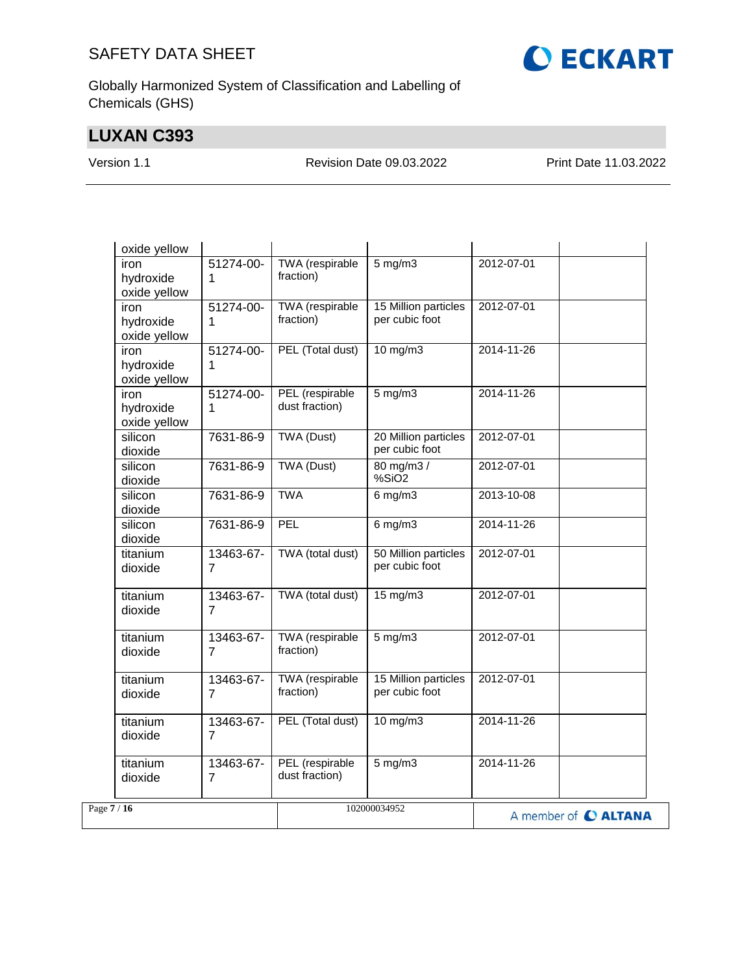

Globally Harmonized System of Classification and Labelling of Chemicals (GHS)

## **LUXAN C393**

Version 1.1 Revision Date 09.03.2022 Print Date 11.03.2022

| oxide yellow                                        |                                     |                                        |                      |
|-----------------------------------------------------|-------------------------------------|----------------------------------------|----------------------|
| 51274-00-<br>iron<br>hydroxide<br>1<br>oxide yellow | TWA (respirable<br>fraction)        | $5$ mg/m $3$                           | 2012-07-01           |
| iron<br>51274-00-<br>hydroxide<br>1<br>oxide yellow | TWA (respirable<br>fraction)        | 15 Million particles<br>per cubic foot | 2012-07-01           |
| 51274-00-<br>iron<br>hydroxide<br>1<br>oxide yellow | PEL (Total dust)                    | 10 mg/m3                               | 2014-11-26           |
| iron<br>51274-00-<br>hydroxide<br>1<br>oxide yellow | PEL (respirable<br>dust fraction)   | $5$ mg/m $3$                           | 2014-11-26           |
| silicon<br>7631-86-9<br>dioxide                     | <b>TWA (Dust)</b>                   | 20 Million particles<br>per cubic foot | 2012-07-01           |
| silicon<br>7631-86-9<br>dioxide                     | <b>TWA (Dust)</b>                   | 80 mg/m3 /<br>%SiO2                    | 2012-07-01           |
| silicon<br>7631-86-9<br>dioxide                     | <b>TWA</b>                          | $6$ mg/m $3$                           | 2013-10-08           |
| silicon<br>7631-86-9<br>dioxide                     | PEL                                 | $6$ mg/m $3$                           | 2014-11-26           |
| titanium<br>13463-67-<br>dioxide<br>$\overline{7}$  | TWA (total dust)                    | 50 Million particles<br>per cubic foot | 2012-07-01           |
| titanium<br>13463-67-<br>dioxide<br>7               | TWA (total dust)                    | 15 mg/m3                               | 2012-07-01           |
| titanium<br>13463-67-<br>dioxide<br>7               | TWA (respirable<br>fraction)        | $5$ mg/m $3$                           | 2012-07-01           |
| 13463-67-<br>titanium<br>dioxide<br>$\overline{7}$  | <b>TWA</b> (respirable<br>fraction) | 15 Million particles<br>per cubic foot | 2012-07-01           |
| titanium<br>13463-67-<br>dioxide<br>7               | PEL (Total dust)                    | 10 mg/m3                               | 2014-11-26           |
| titanium<br>13463-67-<br>$\overline{7}$<br>dioxide  | PEL (respirable<br>dust fraction)   | $5$ mg/m $3$                           | 2014-11-26           |
| Page $7/16$                                         |                                     | 102000034952                           | A member of C ALTANA |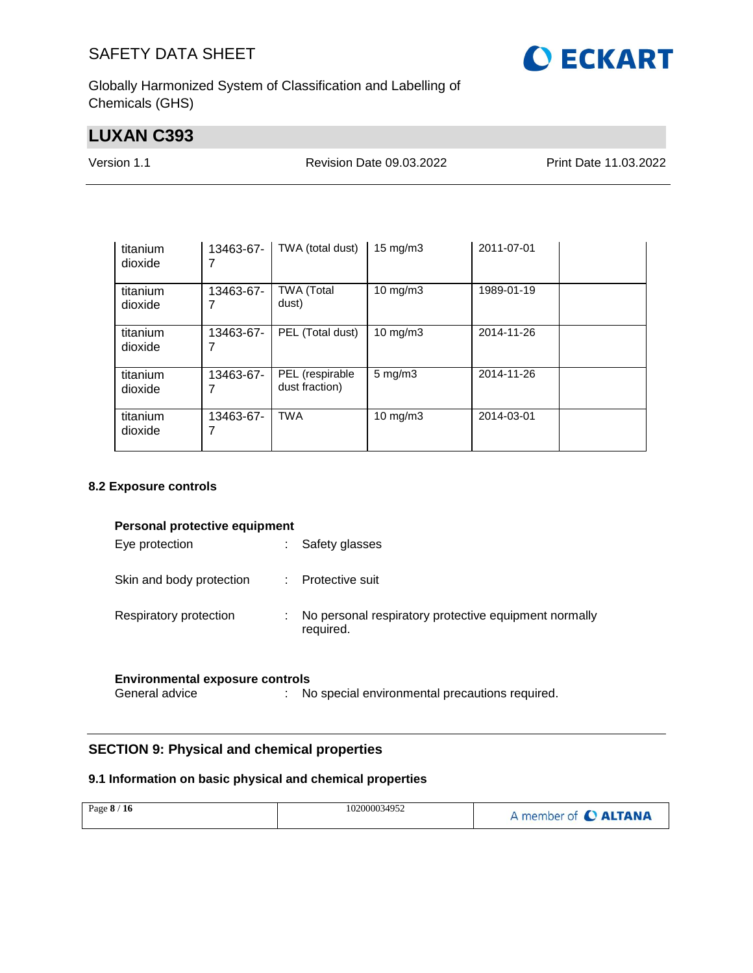

Globally Harmonized System of Classification and Labelling of Chemicals (GHS)

## **LUXAN C393**

Version 1.1 Revision Date 09.03.2022 Print Date 11.03.2022

| titanium<br>dioxide | 13463-67-      | TWA (total dust)                  | $15 \text{ mg/m}$  | 2011-07-01 |  |
|---------------------|----------------|-----------------------------------|--------------------|------------|--|
| titanium<br>dioxide | 13463-67-      | <b>TWA (Total</b><br>dust)        | $10 \text{ mg/m}$  | 1989-01-19 |  |
| titanium<br>dioxide | 13463-67-<br>7 | PEL (Total dust)                  | $10 \text{ mg/m}$  | 2014-11-26 |  |
| titanium<br>dioxide | 13463-67-      | PEL (respirable<br>dust fraction) | $5 \text{ mg/m}$ 3 | 2014-11-26 |  |
| titanium<br>dioxide | 13463-67-      | <b>TWA</b>                        | $10 \text{ mg/m}$  | 2014-03-01 |  |

#### **8.2 Exposure controls**

| Personal protective equipment |   |                                                       |  |  |
|-------------------------------|---|-------------------------------------------------------|--|--|
| Eye protection                | ÷ | Safety glasses                                        |  |  |
|                               |   |                                                       |  |  |
| Skin and body protection      |   | Protective suit                                       |  |  |
|                               |   |                                                       |  |  |
| Respiratory protection        | ÷ | No personal respiratory protective equipment normally |  |  |
|                               |   | required.                                             |  |  |
|                               |   |                                                       |  |  |
|                               |   |                                                       |  |  |

## **Environmental exposure controls**

: No special environmental precautions required.

#### **SECTION 9: Physical and chemical properties**

#### **9.1 Information on basic physical and chemical properties**

|  | Page 8 / 16 | 102000034952 | A member of C ALTANA |
|--|-------------|--------------|----------------------|
|--|-------------|--------------|----------------------|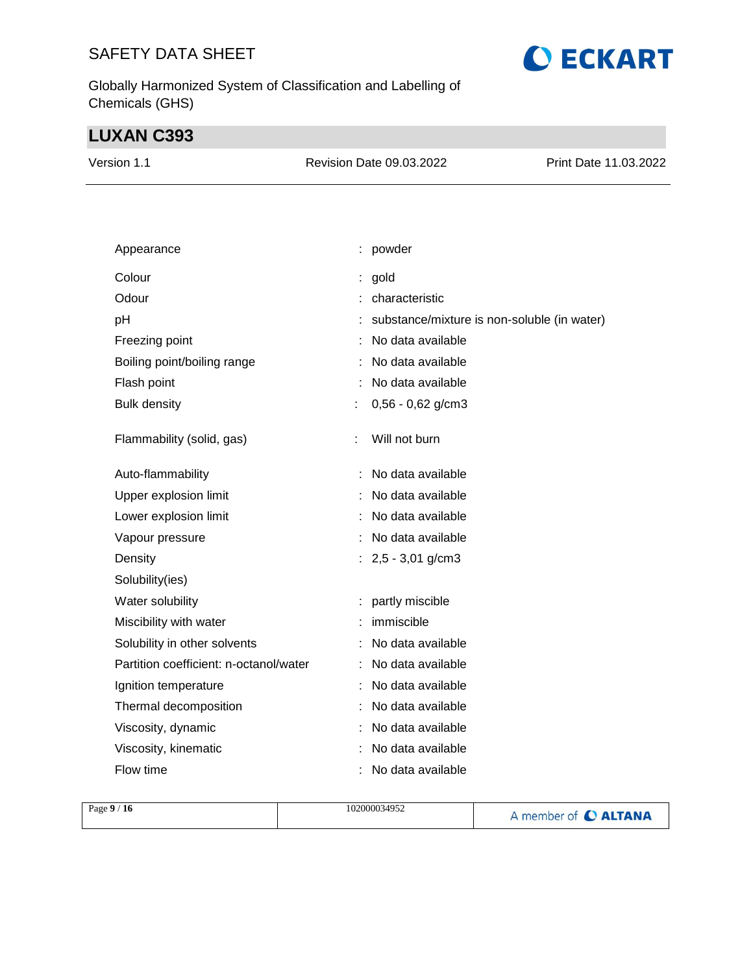Globally Harmonized System of Classification and Labelling of Chemicals (GHS)

## **LUXAN C393**

| Version 1.1 | Revision Date 09.03.2022 | Print Date 11.03.2022 |
|-------------|--------------------------|-----------------------|
|             |                          |                       |

**O ECKART** 

| Appearance                             |   | : powder                                    |
|----------------------------------------|---|---------------------------------------------|
| Colour                                 |   | gold                                        |
| Odour                                  |   | characteristic                              |
| pH                                     |   | substance/mixture is non-soluble (in water) |
| Freezing point                         |   | No data available                           |
| Boiling point/boiling range            |   | No data available                           |
| Flash point                            |   | No data available                           |
| <b>Bulk density</b>                    | ÷ | $0,56 - 0,62$ g/cm3                         |
| Flammability (solid, gas)              |   | Will not burn                               |
| Auto-flammability                      |   | No data available                           |
| Upper explosion limit                  |   | No data available                           |
| Lower explosion limit                  |   | No data available                           |
| Vapour pressure                        |   | No data available                           |
| Density                                |   | : $2,5 - 3,01$ g/cm3                        |
| Solubility(ies)                        |   |                                             |
| Water solubility                       |   | partly miscible                             |
| Miscibility with water                 |   | immiscible                                  |
| Solubility in other solvents           |   | No data available                           |
| Partition coefficient: n-octanol/water |   | No data available                           |
| Ignition temperature                   |   | No data available                           |
| Thermal decomposition                  |   | No data available                           |
| Viscosity, dynamic                     |   | No data available                           |
| Viscosity, kinematic                   |   | No data available                           |
| Flow time                              |   | No data available                           |

| Page $9/16$ | 102000034952 | A member of C ALTANA |
|-------------|--------------|----------------------|
|             |              |                      |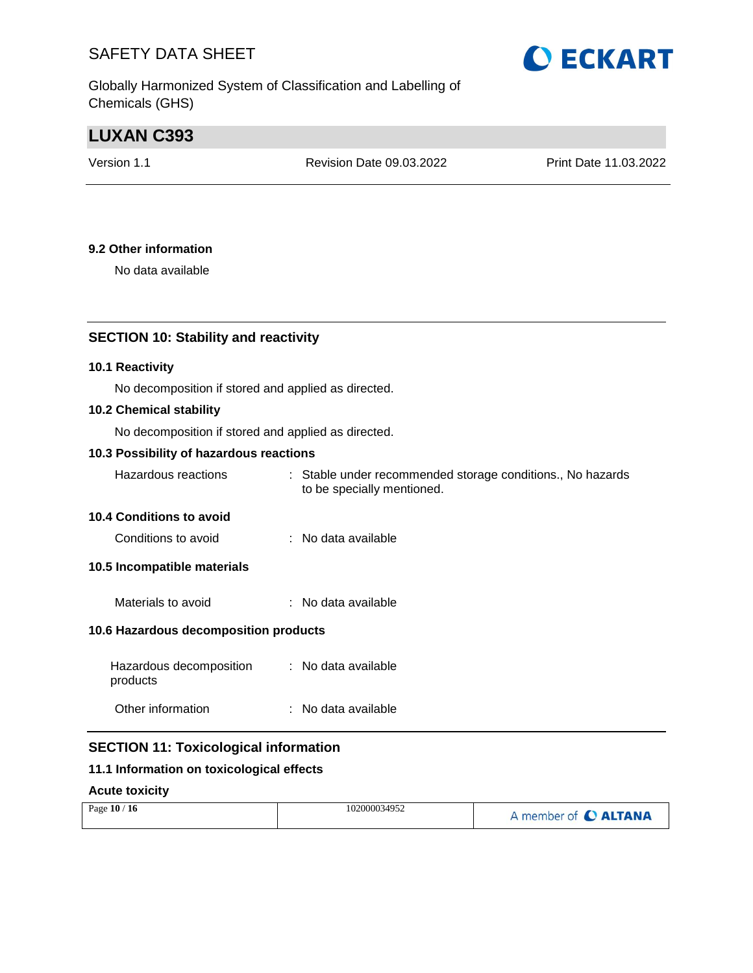Globally Harmonized System of Classification and Labelling of Chemicals (GHS)

# **O ECKART**

## **LUXAN C393**

Revision Date 09.03.2022 Print Date 11.03.2022

#### **9.2 Other information**

No data available

#### **SECTION 10: Stability and reactivity**

#### **10.1 Reactivity**

No decomposition if stored and applied as directed.

#### **10.2 Chemical stability**

No decomposition if stored and applied as directed.

#### **10.3 Possibility of hazardous reactions**

| Hazardous reactions | : Stable under recommended storage conditions., No hazards |
|---------------------|------------------------------------------------------------|
|                     | to be specially mentioned.                                 |

#### **10.4 Conditions to avoid**

| Conditions to avoid | No data available |
|---------------------|-------------------|
|---------------------|-------------------|

#### **10.5 Incompatible materials**

| No data available<br>Materials to avoid |
|-----------------------------------------|
|-----------------------------------------|

#### **10.6 Hazardous decomposition products**

| Hazardous decomposition<br>products | : No data available |
|-------------------------------------|---------------------|
| Other information                   | : No data available |

#### **SECTION 11: Toxicological information**

#### **11.1 Information on toxicological effects**

#### **Acute toxicity**

| Page $10/$<br>16 | 102000034952 | A member of C ALTANA |
|------------------|--------------|----------------------|
|------------------|--------------|----------------------|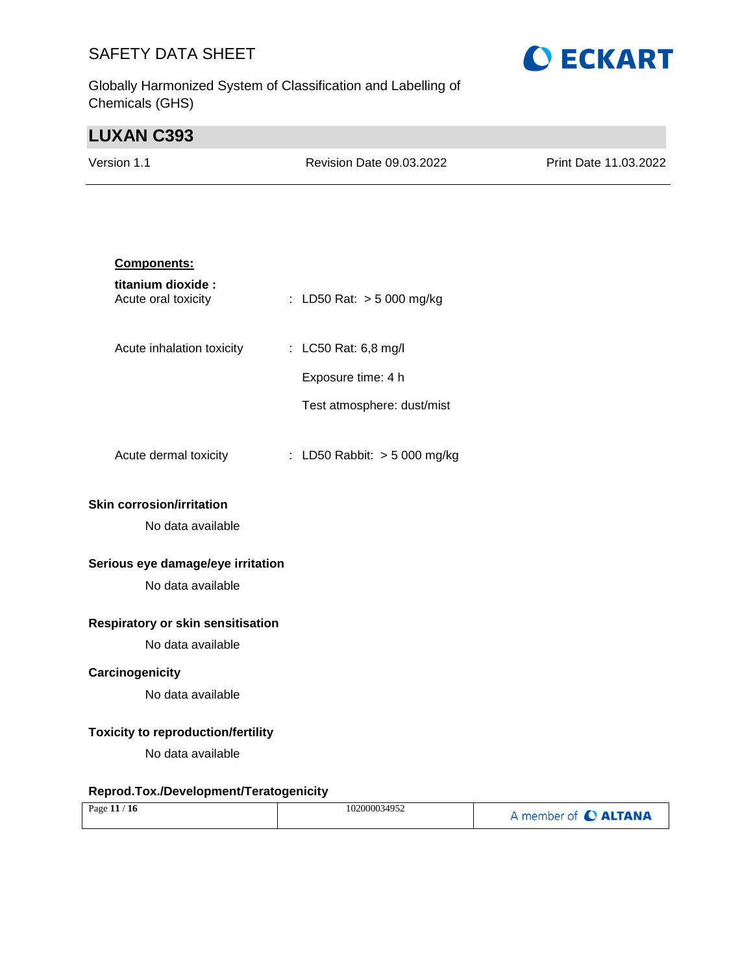Globally Harmonized System of Classification and Labelling of Chemicals (GHS)

# **O ECKART**

## **LUXAN C393**

| Version 1.1 | <b>Revision Date 09.03.2022</b> | Print Date 11.03.2022 |
|-------------|---------------------------------|-----------------------|
|             |                                 |                       |

| <b>Components:</b>                        |                                |
|-------------------------------------------|--------------------------------|
| titanium dioxide :<br>Acute oral toxicity | : LD50 Rat: $> 5000$ mg/kg     |
| Acute inhalation toxicity                 | : LC50 Rat: 6,8 mg/l           |
|                                           | Exposure time: 4 h             |
|                                           | Test atmosphere: dust/mist     |
| Acute dermal toxicity                     | : LD50 Rabbit: $>$ 5 000 mg/kg |
| <b>Skin corrosion/irritation</b>          |                                |
| No data available                         |                                |
| Serious eye damage/eye irritation         |                                |

No data available

#### **Respiratory or skin sensitisation**

No data available

#### **Carcinogenicity**

No data available

#### **Toxicity to reproduction/fertility**

No data available

#### **Reprod.Tox./Development/Teratogenicity**

| Page $11/16$ | 102000034952 | A member of C ALTANA |
|--------------|--------------|----------------------|
|              |              |                      |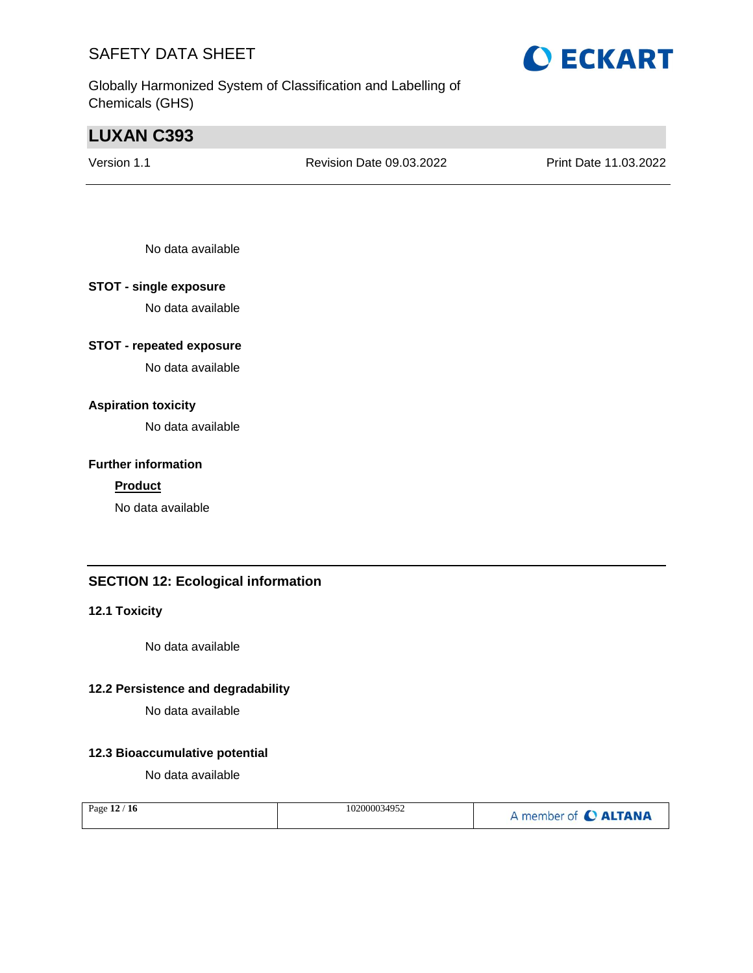Globally Harmonized System of Classification and Labelling of Chemicals (GHS)

## **LUXAN C393**

Version 1.1 Revision Date 09.03.2022 Print Date 11.03.2022

No data available

#### **STOT - single exposure**

No data available

#### **STOT - repeated exposure**

No data available

#### **Aspiration toxicity**

No data available

#### **Further information**

#### **Product**

No data available

#### **SECTION 12: Ecological information**

#### **12.1 Toxicity**

No data available

#### **12.2 Persistence and degradability**

No data available

#### **12.3 Bioaccumulative potential**

No data available

| Page 12 / 16 | 102000034952 | A member of C ALTANA |
|--------------|--------------|----------------------|
|--------------|--------------|----------------------|

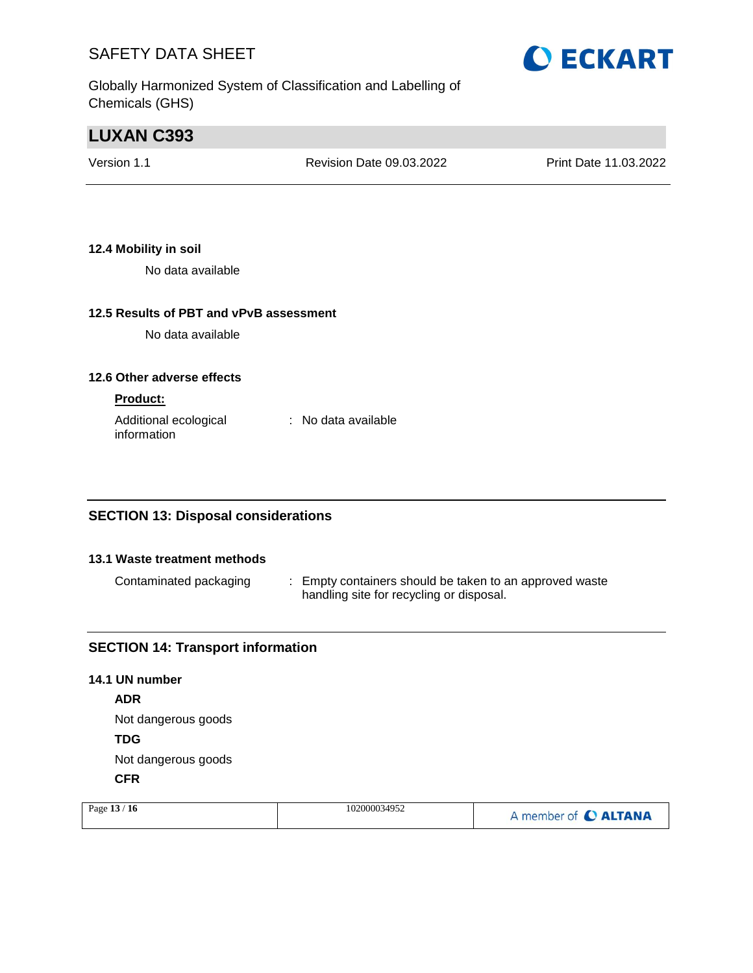Globally Harmonized System of Classification and Labelling of Chemicals (GHS)

## **LUXAN C393**

Version 1.1 Revision Date 09.03.2022 Print Date 11.03.2022

#### **12.4 Mobility in soil**

No data available

#### **12.5 Results of PBT and vPvB assessment**

No data available

#### **12.6 Other adverse effects**

#### **Product:**

Additional ecological information : No data available

#### **SECTION 13: Disposal considerations**

#### **13.1 Waste treatment methods**

Contaminated packaging : Empty containers should be taken to an approved waste handling site for recycling or disposal.

#### **SECTION 14: Transport information**

## **14.1 UN number ADR** Not dangerous goods **TDG** Not dangerous goods **CFR**

| Page $13/16$ | 102000034952 | A member of C ALTANA |
|--------------|--------------|----------------------|
|              |              |                      |

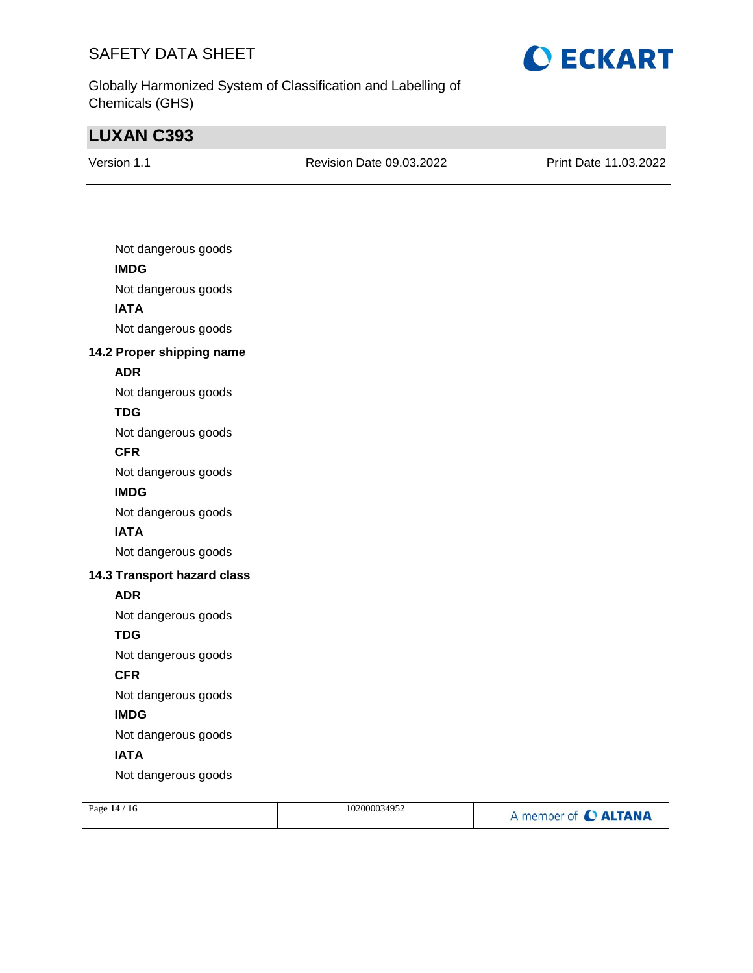

Globally Harmonized System of Classification and Labelling of Chemicals (GHS)

## **LUXAN C393**

| Version 1.1 |  |
|-------------|--|
|             |  |

Revision Date 09.03.2022 Print Date 11.03.2022

| Not dangerous goods         |
|-----------------------------|
| <b>IMDG</b>                 |
| Not dangerous goods         |
| <b>IATA</b>                 |
| Not dangerous goods         |
| 14.2 Proper shipping name   |
| <b>ADR</b>                  |
| Not dangerous goods         |
| TDG                         |
| Not dangerous goods         |
| <b>CFR</b>                  |
| Not dangerous goods         |
| <b>IMDG</b>                 |
| Not dangerous goods         |
| <b>IATA</b>                 |
| Not dangerous goods         |
| 14.3 Transport hazard class |
| <b>ADR</b>                  |
| Not dangerous goods         |
| <b>TDG</b>                  |
| Not dangerous goods         |
| <b>CFR</b>                  |
| Not dangerous goods         |
| <b>IMDG</b>                 |
| Not dangerous goods         |
| <b>IATA</b>                 |
| Not dangerous goods         |
| 1111                        |

| Page 14 / 16 | 102000034952 | A member of C ALTANA |
|--------------|--------------|----------------------|
|              |              |                      |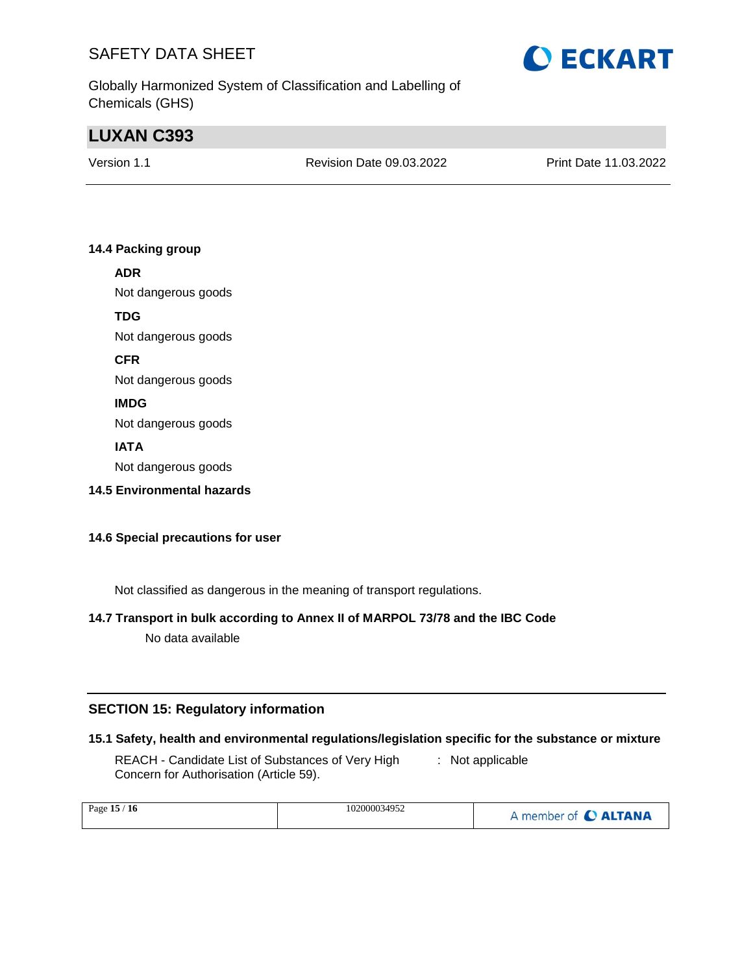

## **LUXAN C393**

Version 1.1 Revision Date 09.03.2022 Print Date 11.03.2022

#### **14.4 Packing group**

#### **ADR**

Not dangerous goods

#### **TDG**

Not dangerous goods

**CFR**

Not dangerous goods

#### **IMDG**

Not dangerous goods

#### **IATA**

Not dangerous goods

**14.5 Environmental hazards**

#### **14.6 Special precautions for user**

Not classified as dangerous in the meaning of transport regulations.

## **14.7 Transport in bulk according to Annex II of MARPOL 73/78 and the IBC Code**

No data available

#### **SECTION 15: Regulatory information**

#### **15.1 Safety, health and environmental regulations/legislation specific for the substance or mixture**

REACH - Candidate List of Substances of Very High Concern for Authorisation (Article 59). : Not applicable

| Page 15 / 16 | 102000034952 | A member of C ALTANA |
|--------------|--------------|----------------------|
|--------------|--------------|----------------------|